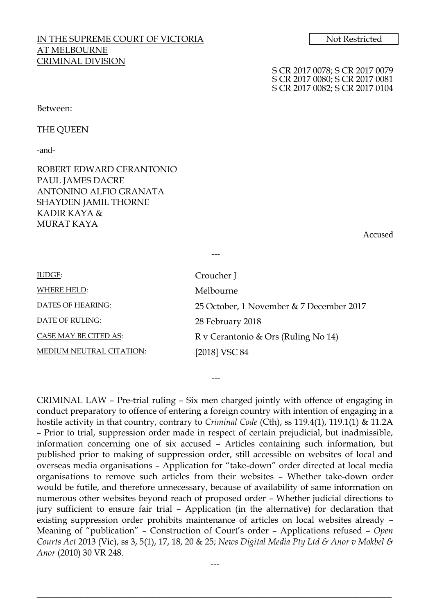# IN THE SUPREME COURT OF VICTORIA Not Restricted AT MELBOURNE CRIMINAL DIVISION

S CR 2017 0078; S CR 2017 0079 S CR 2017 0080; S CR 2017 0081 S CR 2017 0082; S CR 2017 0104

#### Between:

THE QUEEN

-and-

ROBERT EDWARD CERANTONIO PAUL JAMES DACRE ANTONINO ALFIO GRANATA SHAYDEN JAMIL THORNE KADIR KAYA & MURAT KAYA

Accused

| JUDGE:                          | Croucher J                               |  |
|---------------------------------|------------------------------------------|--|
| <b>WHERE HELD:</b>              | Melbourne                                |  |
| DATES OF HEARING:               | 25 October, 1 November & 7 December 2017 |  |
| DATE OF RULING:                 | 28 February 2018                         |  |
| CASE MAY BE CITED AS:           | R v Cerantonio & Ors (Ruling No 14)      |  |
| <b>MEDIUM NEUTRAL CITATION:</b> | [2018] VSC 84                            |  |

---

CRIMINAL LAW – Pre-trial ruling – Six men charged jointly with offence of engaging in conduct preparatory to offence of entering a foreign country with intention of engaging in a hostile activity in that country, contrary to *Criminal Code* (Cth), ss 119.4(1), 119.1(1) & 11.2A – Prior to trial, suppression order made in respect of certain prejudicial, but inadmissible, information concerning one of six accused – Articles containing such information, but published prior to making of suppression order, still accessible on websites of local and overseas media organisations – Application for "take-down" order directed at local media organisations to remove such articles from their websites – Whether take-down order would be futile, and therefore unnecessary, because of availability of same information on numerous other websites beyond reach of proposed order – Whether judicial directions to jury sufficient to ensure fair trial – Application (in the alternative) for declaration that existing suppression order prohibits maintenance of articles on local websites already – Meaning of "publication" – Construction of Court's order – Applications refused – *Open Courts Act* 2013 (Vic), ss 3, 5(1), 17, 18, 20 & 25; *News Digital Media Pty Ltd & Anor v Mokbel & Anor* (2010) 30 VR 248.

---

\_\_\_\_\_\_\_\_\_\_\_\_\_\_\_\_\_\_\_\_\_\_\_\_\_\_\_\_\_\_\_\_\_\_\_\_\_\_\_\_\_\_\_\_\_\_\_\_\_\_\_\_\_\_\_\_\_\_\_\_\_\_\_\_\_\_\_\_\_\_\_\_\_\_\_\_\_\_\_\_\_

---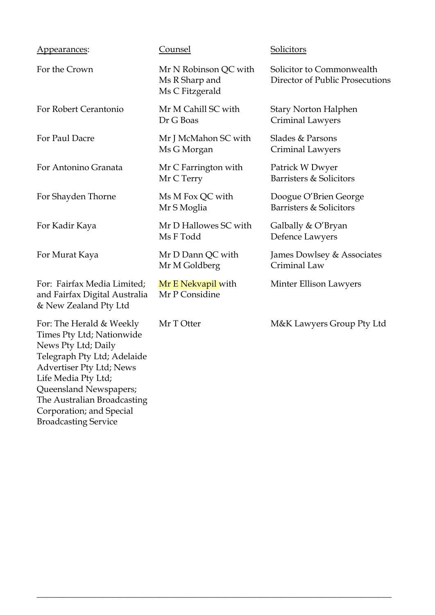| Appearances:                                                                                                                                                                                                                                                                              | Counsel                                                    | Solicitors                                                   |
|-------------------------------------------------------------------------------------------------------------------------------------------------------------------------------------------------------------------------------------------------------------------------------------------|------------------------------------------------------------|--------------------------------------------------------------|
| For the Crown                                                                                                                                                                                                                                                                             | Mr N Robinson QC with<br>Ms R Sharp and<br>Ms C Fitzgerald | Solicitor to Commonwealth<br>Director of Public Prosecutions |
| For Robert Cerantonio                                                                                                                                                                                                                                                                     | Mr M Cahill SC with<br>Dr G Boas                           | <b>Stary Norton Halphen</b><br>Criminal Lawyers              |
| For Paul Dacre                                                                                                                                                                                                                                                                            | Mr J McMahon SC with<br>Ms G Morgan                        | Slades & Parsons<br>Criminal Lawyers                         |
| For Antonino Granata                                                                                                                                                                                                                                                                      | Mr C Farrington with<br>Mr C Terry                         | Patrick W Dwyer<br>Barristers & Solicitors                   |
| For Shayden Thorne                                                                                                                                                                                                                                                                        | Ms M Fox QC with<br>Mr S Moglia                            | Doogue O'Brien George<br>Barristers & Solicitors             |
| For Kadir Kaya                                                                                                                                                                                                                                                                            | Mr D Hallowes SC with<br>Ms F Todd                         | Galbally & O'Bryan<br>Defence Lawyers                        |
| For Murat Kaya                                                                                                                                                                                                                                                                            | Mr D Dann QC with<br>Mr M Goldberg                         | James Dowlsey & Associates<br>Criminal Law                   |
| For: Fairfax Media Limited;<br>and Fairfax Digital Australia<br>& New Zealand Pty Ltd                                                                                                                                                                                                     | Mr E Nekvapil with<br>Mr P Considine                       | Minter Ellison Lawyers                                       |
| For: The Herald & Weekly<br>Times Pty Ltd; Nationwide<br>News Pty Ltd; Daily<br>Telegraph Pty Ltd; Adelaide<br><b>Advertiser Pty Ltd; News</b><br>Life Media Pty Ltd;<br>Queensland Newspapers;<br>The Australian Broadcasting<br>Corporation; and Special<br><b>Broadcasting Service</b> | Mr T Otter                                                 | M&K Lawyers Group Pty Ltd                                    |

\_\_\_\_\_\_\_\_\_\_\_\_\_\_\_\_\_\_\_\_\_\_\_\_\_\_\_\_\_\_\_\_\_\_\_\_\_\_\_\_\_\_\_\_\_\_\_\_\_\_\_\_\_\_\_\_\_\_\_\_\_\_\_\_\_\_\_\_\_\_\_\_\_\_\_\_\_\_\_\_\_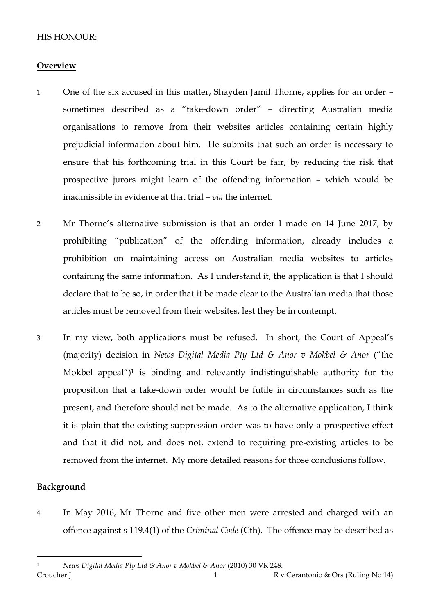# HIS HONOUR:

### **Overview**

- 1 One of the six accused in this matter, Shayden Jamil Thorne, applies for an order sometimes described as a "take-down order" – directing Australian media organisations to remove from their websites articles containing certain highly prejudicial information about him. He submits that such an order is necessary to ensure that his forthcoming trial in this Court be fair, by reducing the risk that prospective jurors might learn of the offending information – which would be inadmissible in evidence at that trial – *via* the internet.
- 2 Mr Thorne's alternative submission is that an order I made on 14 June 2017, by prohibiting "publication" of the offending information, already includes a prohibition on maintaining access on Australian media websites to articles containing the same information. As I understand it, the application is that I should declare that to be so, in order that it be made clear to the Australian media that those articles must be removed from their websites, lest they be in contempt.
- 3 In my view, both applications must be refused. In short, the Court of Appeal's (majority) decision in *News Digital Media Pty Ltd & Anor v Mokbel & Anor* ("the Mokbel appeal") <sup>1</sup> is binding and relevantly indistinguishable authority for the proposition that a take-down order would be futile in circumstances such as the present, and therefore should not be made. As to the alternative application, I think it is plain that the existing suppression order was to have only a prospective effect and that it did not, and does not, extend to requiring pre-existing articles to be removed from the internet. My more detailed reasons for those conclusions follow.

### **Background**

 $\overline{a}$ 

4 In May 2016, Mr Thorne and five other men were arrested and charged with an offence against s 119.4(1) of the *Criminal Code* (Cth). The offence may be described as

Croucher J 1 R v Cerantonio & Ors (Ruling No 14) <sup>1</sup> *News Digital Media Pty Ltd & Anor v Mokbel & Anor* (2010) 30 VR 248.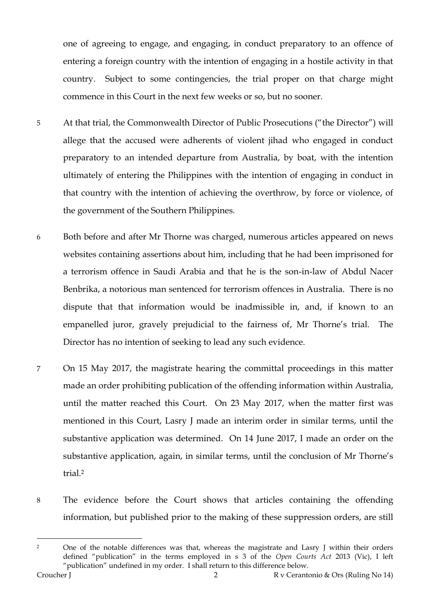one of agreeing to engage, and engaging, in conduct preparatory to an offence of entering a foreign country with the intention of engaging in a hostile activity in that country. Subject to some contingencies, the trial proper on that charge might commence in this Court in the next few weeks or so, but no sooner.

- 5 At that trial, the Commonwealth Director of Public Prosecutions ("the Director") will allege that the accused were adherents of violent jihad who engaged in conduct preparatory to an intended departure from Australia, by boat, with the intention ultimately of entering the Philippines with the intention of engaging in conduct in that country with the intention of achieving the overthrow, by force or violence, of the government of the Southern Philippines.
- 6 Both before and after Mr Thorne was charged, numerous articles appeared on news websites containing assertions about him, including that he had been imprisoned for a terrorism offence in Saudi Arabia and that he is the son-in-law of Abdul Nacer Benbrika, a notorious man sentenced for terrorism offences in Australia. There is no dispute that that information would be inadmissible in, and, if known to an empanelled juror, gravely prejudicial to the fairness of, Mr Thorne's trial. The Director has no intention of seeking to lead any such evidence.
- 7 On 15 May 2017, the magistrate hearing the committal proceedings in this matter made an order prohibiting publication of the offending information within Australia, until the matter reached this Court. On 23 May 2017, when the matter first was mentioned in this Court, Lasry J made an interim order in similar terms, until the substantive application was determined. On 14 June 2017, I made an order on the substantive application, again, in similar terms, until the conclusion of Mr Thorne's trial.<sup>2</sup>
- 8 The evidence before the Court shows that articles containing the offending information, but published prior to the making of these suppression orders, are still

<sup>&</sup>lt;sup>2</sup> One of the notable differences was that, whereas the magistrate and Lasry J within their orders defined "publication" in the terms employed in s 3 of the *Open Courts Act* 2013 (Vic), I left "publication" undefined in my order. I shall return to this difference below.

Croucher J 2 R v Cerantonio & Ors (Ruling No 14)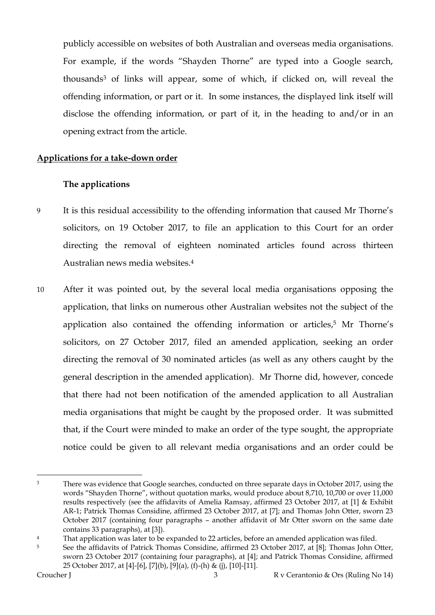publicly accessible on websites of both Australian and overseas media organisations. For example, if the words "Shayden Thorne" are typed into a Google search, thousands<sup>3</sup> of links will appear, some of which, if clicked on, will reveal the offending information, or part or it. In some instances, the displayed link itself will disclose the offending information, or part of it, in the heading to and/or in an opening extract from the article.

### **Applications for a take-down order**

### **The applications**

- 9 It is this residual accessibility to the offending information that caused Mr Thorne's solicitors, on 19 October 2017, to file an application to this Court for an order directing the removal of eighteen nominated articles found across thirteen Australian news media websites.<sup>4</sup>
- 10 After it was pointed out, by the several local media organisations opposing the application, that links on numerous other Australian websites not the subject of the application also contained the offending information or articles, <sup>5</sup> Mr Thorne's solicitors, on 27 October 2017, filed an amended application, seeking an order directing the removal of 30 nominated articles (as well as any others caught by the general description in the amended application). Mr Thorne did, however, concede that there had not been notification of the amended application to all Australian media organisations that might be caught by the proposed order. It was submitted that, if the Court were minded to make an order of the type sought, the appropriate notice could be given to all relevant media organisations and an order could be

 $\overline{a}$ <sup>3</sup> There was evidence that Google searches, conducted on three separate days in October 2017, using the words "Shayden Thorne", without quotation marks, would produce about 8,710, 10,700 or over 11,000 results respectively (see the affidavits of Amelia Ramsay, affirmed 23 October 2017, at [1] & Exhibit AR-1; Patrick Thomas Considine, affirmed 23 October 2017, at [7]; and Thomas John Otter, sworn 23 October 2017 (containing four paragraphs – another affidavit of Mr Otter sworn on the same date contains 33 paragraphs), at [3]).

<sup>&</sup>lt;sup>4</sup> That application was later to be expanded to 22 articles, before an amended application was filed.

<sup>&</sup>lt;sup>5</sup> See the affidavits of Patrick Thomas Considine, affirmed 23 October 2017, at [8]; Thomas John Otter, sworn 23 October 2017 (containing four paragraphs), at [4]; and Patrick Thomas Considine, affirmed 25 October 2017, at [4]-[6], [7](b), [9](a), (f)-(h) & (j), [10]-[11].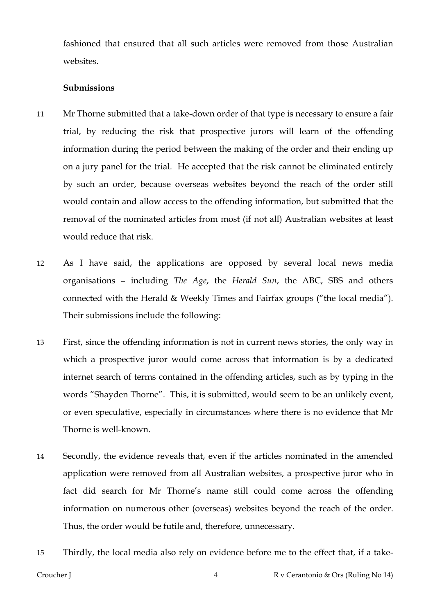fashioned that ensured that all such articles were removed from those Australian websites.

### **Submissions**

- 11 Mr Thorne submitted that a take-down order of that type is necessary to ensure a fair trial, by reducing the risk that prospective jurors will learn of the offending information during the period between the making of the order and their ending up on a jury panel for the trial. He accepted that the risk cannot be eliminated entirely by such an order, because overseas websites beyond the reach of the order still would contain and allow access to the offending information, but submitted that the removal of the nominated articles from most (if not all) Australian websites at least would reduce that risk.
- 12 As I have said, the applications are opposed by several local news media organisations – including *The Age*, the *Herald Sun*, the ABC, SBS and others connected with the Herald & Weekly Times and Fairfax groups ("the local media"). Their submissions include the following:
- 13 First, since the offending information is not in current news stories, the only way in which a prospective juror would come across that information is by a dedicated internet search of terms contained in the offending articles, such as by typing in the words "Shayden Thorne". This, it is submitted, would seem to be an unlikely event, or even speculative, especially in circumstances where there is no evidence that Mr Thorne is well-known.
- 14 Secondly, the evidence reveals that, even if the articles nominated in the amended application were removed from all Australian websites, a prospective juror who in fact did search for Mr Thorne's name still could come across the offending information on numerous other (overseas) websites beyond the reach of the order. Thus, the order would be futile and, therefore, unnecessary.
- 15 Thirdly, the local media also rely on evidence before me to the effect that, if a take-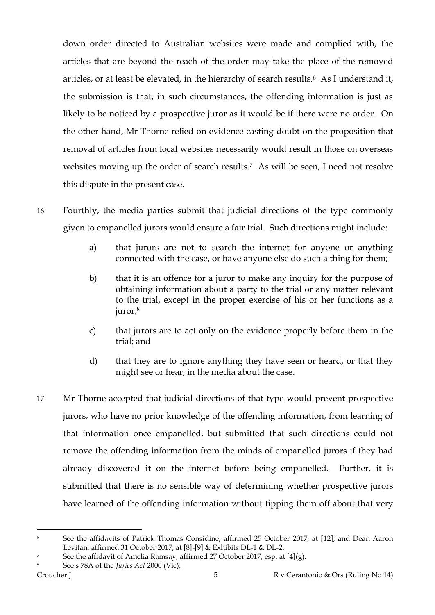down order directed to Australian websites were made and complied with, the articles that are beyond the reach of the order may take the place of the removed articles, or at least be elevated, in the hierarchy of search results.6 As I understand it, the submission is that, in such circumstances, the offending information is just as likely to be noticed by a prospective juror as it would be if there were no order. On the other hand, Mr Thorne relied on evidence casting doubt on the proposition that removal of articles from local websites necessarily would result in those on overseas websites moving up the order of search results.7 As will be seen, I need not resolve this dispute in the present case.

- 16 Fourthly, the media parties submit that judicial directions of the type commonly given to empanelled jurors would ensure a fair trial. Such directions might include:
	- a) that jurors are not to search the internet for anyone or anything connected with the case, or have anyone else do such a thing for them;
	- b) that it is an offence for a juror to make any inquiry for the purpose of obtaining information about a party to the trial or any matter relevant to the trial, except in the proper exercise of his or her functions as a juror;<sup>8</sup>
	- c) that jurors are to act only on the evidence properly before them in the trial; and
	- d) that they are to ignore anything they have seen or heard, or that they might see or hear, in the media about the case.
- 17 Mr Thorne accepted that judicial directions of that type would prevent prospective jurors, who have no prior knowledge of the offending information, from learning of that information once empanelled, but submitted that such directions could not remove the offending information from the minds of empanelled jurors if they had already discovered it on the internet before being empanelled. Further, it is submitted that there is no sensible way of determining whether prospective jurors have learned of the offending information without tipping them off about that very

<sup>6</sup> See the affidavits of Patrick Thomas Considine, affirmed 25 October 2017, at [12]; and Dean Aaron Levitan, affirmed 31 October 2017, at [8]-[9] & Exhibits DL-1 & DL-2.

<sup>&</sup>lt;sup>7</sup> See the affidavit of Amelia Ramsay, affirmed 27 October 2017, esp. at [4](g).

<sup>8</sup> See s 78A of the *Juries Act* 2000 (Vic).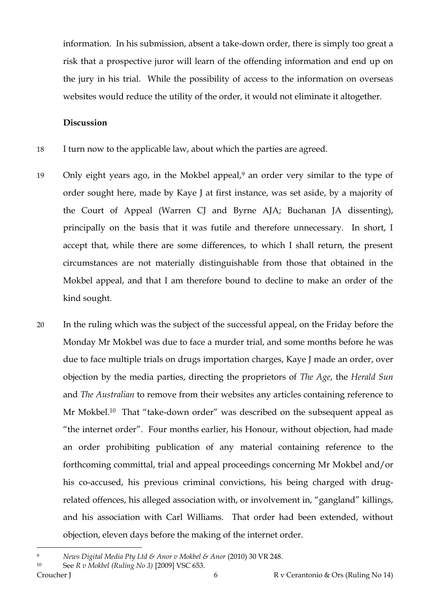information. In his submission, absent a take-down order, there is simply too great a risk that a prospective juror will learn of the offending information and end up on the jury in his trial. While the possibility of access to the information on overseas websites would reduce the utility of the order, it would not eliminate it altogether.

#### **Discussion**

- 18 I turn now to the applicable law, about which the parties are agreed.
- 19 Only eight years ago, in the Mokbel appeal,<sup>9</sup> an order very similar to the type of order sought here, made by Kaye J at first instance, was set aside, by a majority of the Court of Appeal (Warren CJ and Byrne AJA; Buchanan JA dissenting), principally on the basis that it was futile and therefore unnecessary. In short, I accept that, while there are some differences, to which I shall return, the present circumstances are not materially distinguishable from those that obtained in the Mokbel appeal, and that I am therefore bound to decline to make an order of the kind sought.
- 20 In the ruling which was the subject of the successful appeal, on the Friday before the Monday Mr Mokbel was due to face a murder trial, and some months before he was due to face multiple trials on drugs importation charges, Kaye J made an order, over objection by the media parties, directing the proprietors of *The Age*, the *Herald Sun* and *The Australian* to remove from their websites any articles containing reference to Mr Mokbel. <sup>10</sup> That "take-down order" was described on the subsequent appeal as "the internet order". Four months earlier, his Honour, without objection, had made an order prohibiting publication of any material containing reference to the forthcoming committal, trial and appeal proceedings concerning Mr Mokbel and/or his co-accused, his previous criminal convictions, his being charged with drugrelated offences, his alleged association with, or involvement in, "gangland" killings, and his association with Carl Williams. That order had been extended, without objection, eleven days before the making of the internet order.

<sup>9</sup> *News Digital Media Pty Ltd & Anor v Mokbel & Anor* (2010) 30 VR 248.

Croucher J 6 R v Cerantonio & Ors (Ruling No 14) <sup>10</sup> See *R v Mokbel (Ruling No 3)* [2009] VSC 653.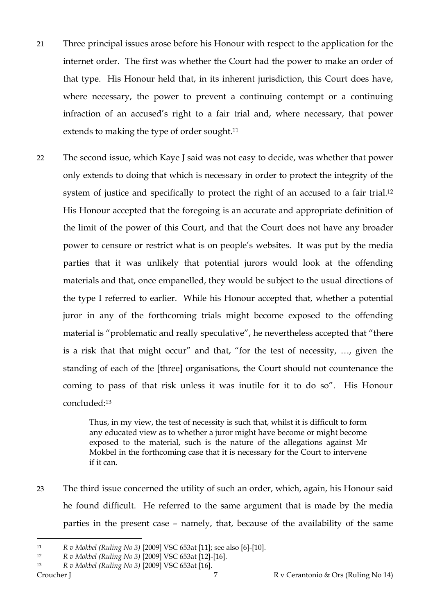- 21 Three principal issues arose before his Honour with respect to the application for the internet order. The first was whether the Court had the power to make an order of that type. His Honour held that, in its inherent jurisdiction, this Court does have, where necessary, the power to prevent a continuing contempt or a continuing infraction of an accused's right to a fair trial and, where necessary, that power extends to making the type of order sought.<sup>11</sup>
- 22 The second issue, which Kaye J said was not easy to decide, was whether that power only extends to doing that which is necessary in order to protect the integrity of the system of justice and specifically to protect the right of an accused to a fair trial.<sup>12</sup> His Honour accepted that the foregoing is an accurate and appropriate definition of the limit of the power of this Court, and that the Court does not have any broader power to censure or restrict what is on people's websites. It was put by the media parties that it was unlikely that potential jurors would look at the offending materials and that, once empanelled, they would be subject to the usual directions of the type I referred to earlier. While his Honour accepted that, whether a potential juror in any of the forthcoming trials might become exposed to the offending material is "problematic and really speculative", he nevertheless accepted that "there is a risk that that might occur" and that, "for the test of necessity, …, given the standing of each of the [three] organisations, the Court should not countenance the coming to pass of that risk unless it was inutile for it to do so". His Honour concluded:<sup>13</sup>

Thus, in my view, the test of necessity is such that, whilst it is difficult to form any educated view as to whether a juror might have become or might become exposed to the material, such is the nature of the allegations against Mr Mokbel in the forthcoming case that it is necessary for the Court to intervene if it can.

23 The third issue concerned the utility of such an order, which, again, his Honour said he found difficult. He referred to the same argument that is made by the media parties in the present case – namely, that, because of the availability of the same

<sup>11</sup> *R v Mokbel (Ruling No 3)* [2009] VSC 653at [11]; see also [6]-[10].

<sup>12</sup> *R v Mokbel (Ruling No 3)* [2009] VSC 653at [12]-[16].

Croucher J 7 R v Cerantonio & Ors (Ruling No 14) <sup>13</sup> *R v Mokbel (Ruling No 3)* [2009] VSC 653at [16].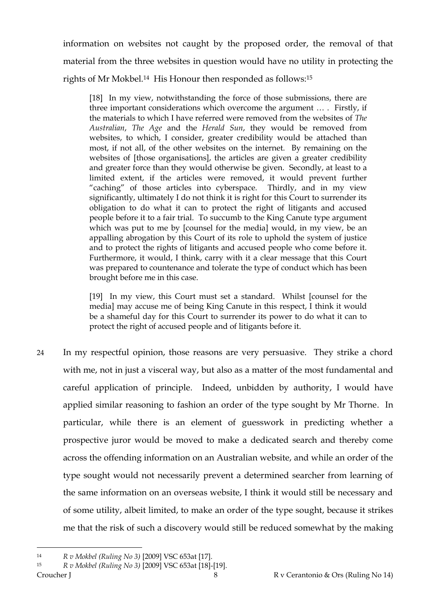information on websites not caught by the proposed order, the removal of that material from the three websites in question would have no utility in protecting the rights of Mr Mokbel.14 His Honour then responded as follows: 15

[18] In my view, notwithstanding the force of those submissions, there are three important considerations which overcome the argument … . Firstly, if the materials to which I have referred were removed from the websites of *The Australian*, *The Age* and the *Herald Sun*, they would be removed from websites, to which, I consider, greater credibility would be attached than most, if not all, of the other websites on the internet. By remaining on the websites of [those organisations], the articles are given a greater credibility and greater force than they would otherwise be given. Secondly, at least to a limited extent, if the articles were removed, it would prevent further "caching" of those articles into cyberspace. Thirdly, and in my view significantly, ultimately I do not think it is right for this Court to surrender its obligation to do what it can to protect the right of litigants and accused people before it to a fair trial. To succumb to the King Canute type argument which was put to me by [counsel for the media] would, in my view, be an appalling abrogation by this Court of its role to uphold the system of justice and to protect the rights of litigants and accused people who come before it. Furthermore, it would, I think, carry with it a clear message that this Court was prepared to countenance and tolerate the type of conduct which has been brought before me in this case.

[19] In my view, this Court must set a standard. Whilst [counsel for the media] may accuse me of being King Canute in this respect, I think it would be a shameful day for this Court to surrender its power to do what it can to protect the right of accused people and of litigants before it.

24 In my respectful opinion, those reasons are very persuasive. They strike a chord with me, not in just a visceral way, but also as a matter of the most fundamental and careful application of principle. Indeed, unbidden by authority, I would have applied similar reasoning to fashion an order of the type sought by Mr Thorne. In particular, while there is an element of guesswork in predicting whether a prospective juror would be moved to make a dedicated search and thereby come across the offending information on an Australian website, and while an order of the type sought would not necessarily prevent a determined searcher from learning of the same information on an overseas website, I think it would still be necessary and of some utility, albeit limited, to make an order of the type sought, because it strikes me that the risk of such a discovery would still be reduced somewhat by the making

<sup>14</sup> *R v Mokbel (Ruling No 3)* [2009] VSC 653at [17].

Croucher J 8 8 R v Cerantonio & Ors (Ruling No 14) <sup>15</sup> *R v Mokbel (Ruling No 3)* [2009] VSC 653at [18]-[19].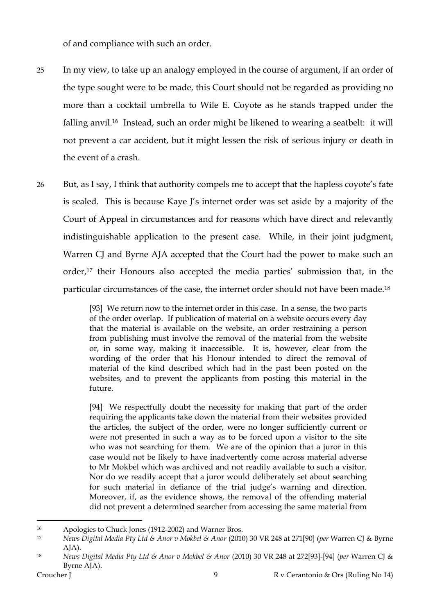of and compliance with such an order.

- 25 In my view, to take up an analogy employed in the course of argument, if an order of the type sought were to be made, this Court should not be regarded as providing no more than a cocktail umbrella to Wile E. Coyote as he stands trapped under the falling anvil.16 Instead, such an order might be likened to wearing a seatbelt: it will not prevent a car accident, but it might lessen the risk of serious injury or death in the event of a crash.
- 26 But, as I say, I think that authority compels me to accept that the hapless coyote's fate is sealed. This is because Kaye J's internet order was set aside by a majority of the Court of Appeal in circumstances and for reasons which have direct and relevantly indistinguishable application to the present case. While, in their joint judgment, Warren CJ and Byrne AJA accepted that the Court had the power to make such an order,<sup>17</sup> their Honours also accepted the media parties' submission that, in the particular circumstances of the case, the internet order should not have been made.<sup>18</sup>

[93] We return now to the internet order in this case. In a sense, the two parts of the order overlap. If publication of material on a website occurs every day that the material is available on the website, an order restraining a person from publishing must involve the removal of the material from the website or, in some way, making it inaccessible. It is, however, clear from the wording of the order that his Honour intended to direct the removal of material of the kind described which had in the past been posted on the websites, and to prevent the applicants from posting this material in the future.

[94] We respectfully doubt the necessity for making that part of the order requiring the applicants take down the material from their websites provided the articles, the subject of the order, were no longer sufficiently current or were not presented in such a way as to be forced upon a visitor to the site who was not searching for them. We are of the opinion that a juror in this case would not be likely to have inadvertently come across material adverse to Mr Mokbel which was archived and not readily available to such a visitor. Nor do we readily accept that a juror would deliberately set about searching for such material in defiance of the trial judge's warning and direction. Moreover, if, as the evidence shows, the removal of the offending material did not prevent a determined searcher from accessing the same material from

<sup>16</sup> Apologies to Chuck Jones (1912-2002) and Warner Bros.

<sup>17</sup> *News Digital Media Pty Ltd & Anor v Mokbel & Anor* (2010) 30 VR 248 at 271[90] (*per* Warren CJ & Byrne AJA).

<sup>18</sup> *News Digital Media Pty Ltd & Anor v Mokbel & Anor* (2010) 30 VR 248 at 272[93]-[94] (*per* Warren CJ & Byrne AJA).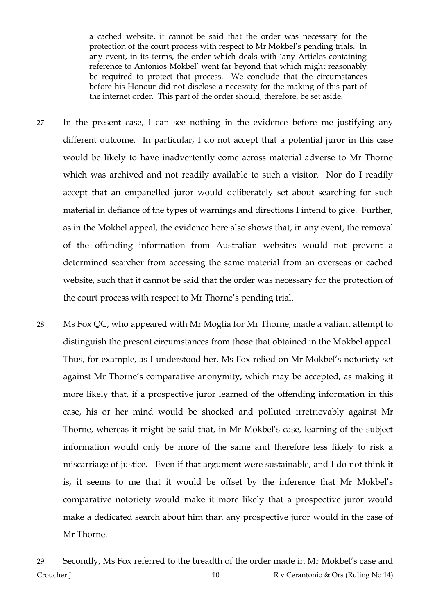a cached website, it cannot be said that the order was necessary for the protection of the court process with respect to Mr Mokbel's pending trials. In any event, in its terms, the order which deals with 'any Articles containing reference to Antonios Mokbel' went far beyond that which might reasonably be required to protect that process. We conclude that the circumstances before his Honour did not disclose a necessity for the making of this part of the internet order. This part of the order should, therefore, be set aside.

- 27 In the present case, I can see nothing in the evidence before me justifying any different outcome. In particular, I do not accept that a potential juror in this case would be likely to have inadvertently come across material adverse to Mr Thorne which was archived and not readily available to such a visitor. Nor do I readily accept that an empanelled juror would deliberately set about searching for such material in defiance of the types of warnings and directions I intend to give. Further, as in the Mokbel appeal, the evidence here also shows that, in any event, the removal of the offending information from Australian websites would not prevent a determined searcher from accessing the same material from an overseas or cached website, such that it cannot be said that the order was necessary for the protection of the court process with respect to Mr Thorne's pending trial.
- 28 Ms Fox QC, who appeared with Mr Moglia for Mr Thorne, made a valiant attempt to distinguish the present circumstances from those that obtained in the Mokbel appeal. Thus, for example, as I understood her, Ms Fox relied on Mr Mokbel's notoriety set against Mr Thorne's comparative anonymity, which may be accepted, as making it more likely that, if a prospective juror learned of the offending information in this case, his or her mind would be shocked and polluted irretrievably against Mr Thorne, whereas it might be said that, in Mr Mokbel's case, learning of the subject information would only be more of the same and therefore less likely to risk a miscarriage of justice. Even if that argument were sustainable, and I do not think it is, it seems to me that it would be offset by the inference that Mr Mokbel's comparative notoriety would make it more likely that a prospective juror would make a dedicated search about him than any prospective juror would in the case of Mr Thorne.

Croucher J 20 10 R v Cerantonio & Ors (Ruling No 14) 29 Secondly, Ms Fox referred to the breadth of the order made in Mr Mokbel's case and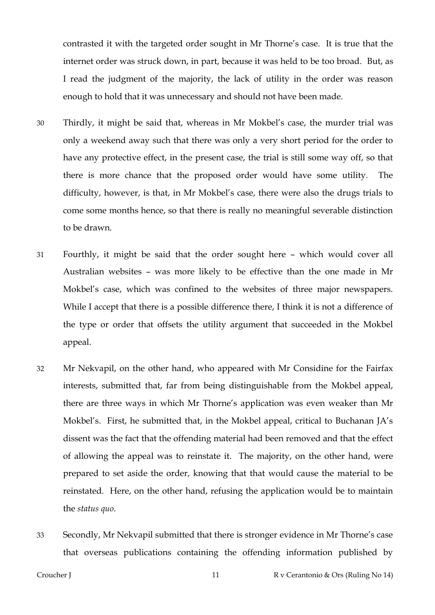contrasted it with the targeted order sought in Mr Thorne's case. It is true that the internet order was struck down, in part, because it was held to be too broad. But, as I read the judgment of the majority, the lack of utility in the order was reason enough to hold that it was unnecessary and should not have been made.

- 30 Thirdly, it might be said that, whereas in Mr Mokbel's case, the murder trial was only a weekend away such that there was only a very short period for the order to have any protective effect, in the present case, the trial is still some way off, so that there is more chance that the proposed order would have some utility. The difficulty, however, is that, in Mr Mokbel's case, there were also the drugs trials to come some months hence, so that there is really no meaningful severable distinction to be drawn.
- 31 Fourthly, it might be said that the order sought here which would cover all Australian websites – was more likely to be effective than the one made in Mr Mokbel's case, which was confined to the websites of three major newspapers. While I accept that there is a possible difference there, I think it is not a difference of the type or order that offsets the utility argument that succeeded in the Mokbel appeal.
- 32 Mr Nekvapil, on the other hand, who appeared with Mr Considine for the Fairfax interests, submitted that, far from being distinguishable from the Mokbel appeal, there are three ways in which Mr Thorne's application was even weaker than Mr Mokbel's. First, he submitted that, in the Mokbel appeal, critical to Buchanan JA's dissent was the fact that the offending material had been removed and that the effect of allowing the appeal was to reinstate it. The majority, on the other hand, were prepared to set aside the order, knowing that that would cause the material to be reinstated. Here, on the other hand, refusing the application would be to maintain the *status quo*.
- 33 Secondly, Mr Nekvapil submitted that there is stronger evidence in Mr Thorne's case that overseas publications containing the offending information published by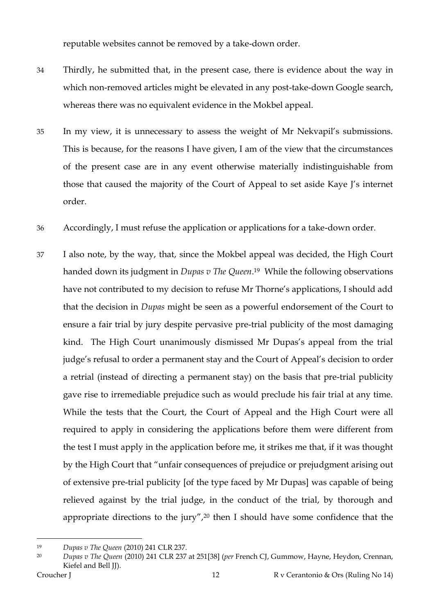reputable websites cannot be removed by a take-down order.

- 34 Thirdly, he submitted that, in the present case, there is evidence about the way in which non-removed articles might be elevated in any post-take-down Google search, whereas there was no equivalent evidence in the Mokbel appeal.
- 35 In my view, it is unnecessary to assess the weight of Mr Nekvapil's submissions. This is because, for the reasons I have given, I am of the view that the circumstances of the present case are in any event otherwise materially indistinguishable from those that caused the majority of the Court of Appeal to set aside Kaye J's internet order.
- 36 Accordingly, I must refuse the application or applications for a take-down order.
- 37 I also note, by the way, that, since the Mokbel appeal was decided, the High Court handed down its judgment in *Dupas v The Queen*. <sup>19</sup> While the following observations have not contributed to my decision to refuse Mr Thorne's applications, I should add that the decision in *Dupas* might be seen as a powerful endorsement of the Court to ensure a fair trial by jury despite pervasive pre-trial publicity of the most damaging kind. The High Court unanimously dismissed Mr Dupas's appeal from the trial judge's refusal to order a permanent stay and the Court of Appeal's decision to order a retrial (instead of directing a permanent stay) on the basis that pre-trial publicity gave rise to irremediable prejudice such as would preclude his fair trial at any time. While the tests that the Court, the Court of Appeal and the High Court were all required to apply in considering the applications before them were different from the test I must apply in the application before me, it strikes me that, if it was thought by the High Court that "unfair consequences of prejudice or prejudgment arising out of extensive pre-trial publicity [of the type faced by Mr Dupas] was capable of being relieved against by the trial judge, in the conduct of the trial, by thorough and appropriate directions to the jury",<sup>20</sup> then I should have some confidence that the

<sup>19</sup> *Dupas v The Queen* (2010) 241 CLR 237.

<sup>20</sup> *Dupas v The Queen* (2010) 241 CLR 237 at 251[38] (*per* French CJ, Gummow, Hayne, Heydon, Crennan, Kiefel and Bell JJ).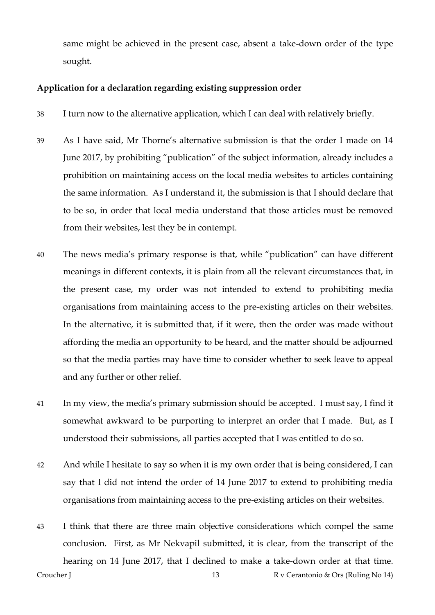same might be achieved in the present case, absent a take-down order of the type sought.

# **Application for a declaration regarding existing suppression order**

- 38 I turn now to the alternative application, which I can deal with relatively briefly.
- 39 As I have said, Mr Thorne's alternative submission is that the order I made on 14 June 2017, by prohibiting "publication" of the subject information, already includes a prohibition on maintaining access on the local media websites to articles containing the same information. As I understand it, the submission is that I should declare that to be so, in order that local media understand that those articles must be removed from their websites, lest they be in contempt.
- 40 The news media's primary response is that, while "publication" can have different meanings in different contexts, it is plain from all the relevant circumstances that, in the present case, my order was not intended to extend to prohibiting media organisations from maintaining access to the pre-existing articles on their websites. In the alternative, it is submitted that, if it were, then the order was made without affording the media an opportunity to be heard, and the matter should be adjourned so that the media parties may have time to consider whether to seek leave to appeal and any further or other relief.
- 41 In my view, the media's primary submission should be accepted. I must say, I find it somewhat awkward to be purporting to interpret an order that I made. But, as I understood their submissions, all parties accepted that I was entitled to do so.
- 42 And while I hesitate to say so when it is my own order that is being considered, I can say that I did not intend the order of 14 June 2017 to extend to prohibiting media organisations from maintaining access to the pre-existing articles on their websites.
- Croucher J 13 R v Cerantonio & Ors (Ruling No 14) 43 I think that there are three main objective considerations which compel the same conclusion. First, as Mr Nekvapil submitted, it is clear, from the transcript of the hearing on 14 June 2017, that I declined to make a take-down order at that time.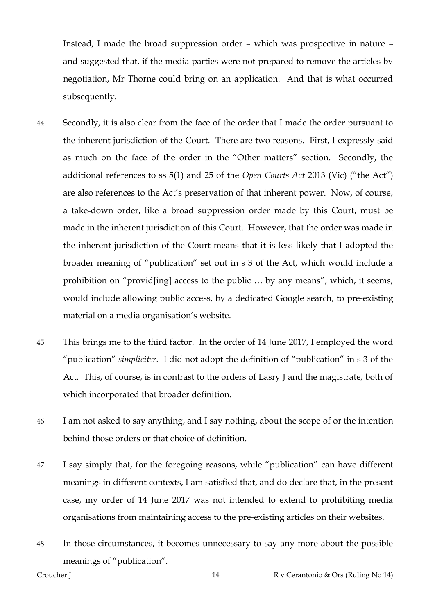Instead, I made the broad suppression order – which was prospective in nature – and suggested that, if the media parties were not prepared to remove the articles by negotiation, Mr Thorne could bring on an application. And that is what occurred subsequently.

- 44 Secondly, it is also clear from the face of the order that I made the order pursuant to the inherent jurisdiction of the Court. There are two reasons. First, I expressly said as much on the face of the order in the "Other matters" section. Secondly, the additional references to ss 5(1) and 25 of the *Open Courts Act* 2013 (Vic) ("the Act") are also references to the Act's preservation of that inherent power. Now, of course, a take-down order, like a broad suppression order made by this Court, must be made in the inherent jurisdiction of this Court. However, that the order was made in the inherent jurisdiction of the Court means that it is less likely that I adopted the broader meaning of "publication" set out in s 3 of the Act, which would include a prohibition on "provid[ing] access to the public … by any means", which, it seems, would include allowing public access, by a dedicated Google search, to pre-existing material on a media organisation's website.
- 45 This brings me to the third factor. In the order of 14 June 2017, I employed the word "publication" *simpliciter*. I did not adopt the definition of "publication" in s 3 of the Act. This, of course, is in contrast to the orders of Lasry J and the magistrate, both of which incorporated that broader definition.
- 46 I am not asked to say anything, and I say nothing, about the scope of or the intention behind those orders or that choice of definition.
- 47 I say simply that, for the foregoing reasons, while "publication" can have different meanings in different contexts, I am satisfied that, and do declare that, in the present case, my order of 14 June 2017 was not intended to extend to prohibiting media organisations from maintaining access to the pre-existing articles on their websites.
- 48 In those circumstances, it becomes unnecessary to say any more about the possible meanings of "publication".